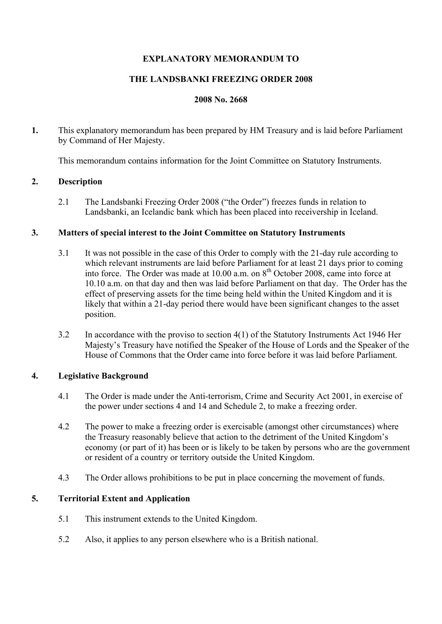# **EXPLANATORY MEMORANDUM TO**

## **THE LANDSBANKI FREEZING ORDER 2008**

## **2008 No. 2668**

**1.** This explanatory memorandum has been prepared by HM Treasury and is laid before Parliament by Command of Her Majesty.

This memorandum contains information for the Joint Committee on Statutory Instruments.

#### **2. Description**

2.1 The Landsbanki Freezing Order 2008 ("the Order") freezes funds in relation to Landsbanki, an Icelandic bank which has been placed into receivership in Iceland.

#### **3. Matters of special interest to the Joint Committee on Statutory Instruments**

- 3.1 It was not possible in the case of this Order to comply with the 21-day rule according to which relevant instruments are laid before Parliament for at least 21 days prior to coming into force. The Order was made at  $10.00$  a.m. on  $8<sup>th</sup>$  October 2008, came into force at 10.10 a.m. on that day and then was laid before Parliament on that day. The Order has the effect of preserving assets for the time being held within the United Kingdom and it is likely that within a 21-day period there would have been significant changes to the asset position.
- 3.2 In accordance with the proviso to section 4(1) of the Statutory Instruments Act 1946 Her Majesty's Treasury have notified the Speaker of the House of Lords and the Speaker of the House of Commons that the Order came into force before it was laid before Parliament.

# **4. Legislative Background**

- 4.1 The Order is made under the Anti-terrorism, Crime and Security Act 2001, in exercise of the power under sections 4 and 14 and Schedule 2, to make a freezing order.
- 4.2 The power to make a freezing order is exercisable (amongst other circumstances) where the Treasury reasonably believe that action to the detriment of the United Kingdom's economy (or part of it) has been or is likely to be taken by persons who are the government or resident of a country or territory outside the United Kingdom.
- 4.3 The Order allows prohibitions to be put in place concerning the movement of funds.

# **5. Territorial Extent and Application**

- 5.1 This instrument extends to the United Kingdom.
- 5.2 Also, it applies to any person elsewhere who is a British national.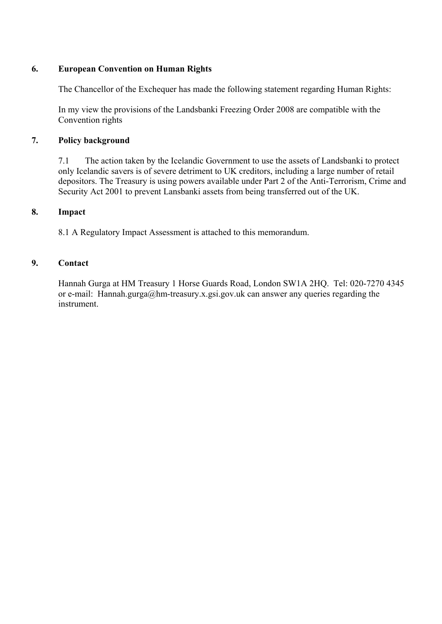# **6. European Convention on Human Rights**

The Chancellor of the Exchequer has made the following statement regarding Human Rights:

In my view the provisions of the Landsbanki Freezing Order 2008 are compatible with the Convention rights

# **7. Policy background**

7.1 The action taken by the Icelandic Government to use the assets of Landsbanki to protect only Icelandic savers is of severe detriment to UK creditors, including a large number of retail depositors. The Treasury is using powers available under Part 2 of the Anti-Terrorism, Crime and Security Act 2001 to prevent Lansbanki assets from being transferred out of the UK.

#### **8. Impact**

8.1 A Regulatory Impact Assessment is attached to this memorandum.

## **9. Contact**

Hannah Gurga at HM Treasury 1 Horse Guards Road, London SW1A 2HQ. Tel: 020-7270 4345 or e-mail: Hannah.gurga@hm-treasury.x.gsi.gov.uk can answer any queries regarding the instrument.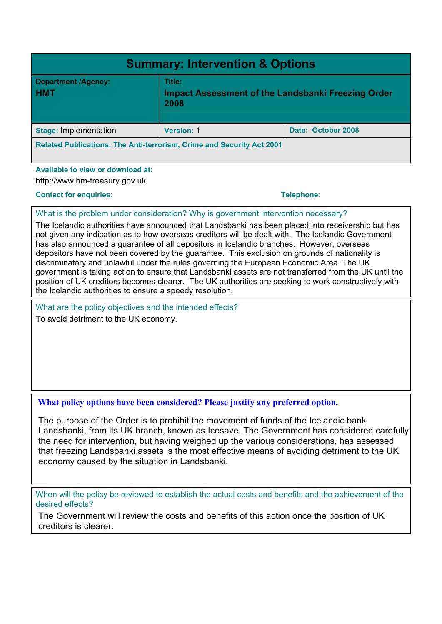| <b>Summary: Intervention &amp; Options</b>                                   |                                                                             |                    |
|------------------------------------------------------------------------------|-----------------------------------------------------------------------------|--------------------|
| <b>Department /Agency:</b><br><b>HMT</b>                                     | Title:<br><b>Impact Assessment of the Landsbanki Freezing Order</b><br>2008 |                    |
| <b>Stage: Implementation</b>                                                 | <b>Version: 1</b>                                                           | Date: October 2008 |
| <b>Related Publications: The Anti-terrorism, Crime and Security Act 2001</b> |                                                                             |                    |

#### **Available to view or download at:**

http://www.hm-treasury.gov.uk

#### **Contact for enquiries:**  $\qquad \qquad$  **Telephone:**  $\qquad \qquad$  **Telephone:**  $\qquad \qquad$

#### What is the problem under consideration? Why is government intervention necessary?

The Icelandic authorities have announced that Landsbanki has been placed into receivership but has not given any indication as to how overseas creditors will be dealt with. The Icelandic Government has also announced a guarantee of all depositors in Icelandic branches. However, overseas depositors have not been covered by the guarantee. This exclusion on grounds of nationality is discriminatory and unlawful under the rules governing the European Economic Area. The UK government is taking action to ensure that Landsbanki assets are not transferred from the UK until the position of UK creditors becomes clearer. The UK authorities are seeking to work constructively with the Icelandic authorities to ensure a speedy resolution.

What are the policy objectives and the intended effects? To avoid detriment to the UK economy.

# **What policy options have been considered? Please justify any preferred option.**

The purpose of the Order is to prohibit the movement of funds of the Icelandic bank Landsbanki, from its UK.branch, known as Icesave. The Government has considered carefully the need for intervention, but having weighed up the various considerations, has assessed that freezing Landsbanki assets is the most effective means of avoiding detriment to the UK economy caused by the situation in Landsbanki.

When will the policy be reviewed to establish the actual costs and benefits and the achievement of the desired effects?

The Government will review the costs and benefits of this action once the position of UK creditors is clearer.